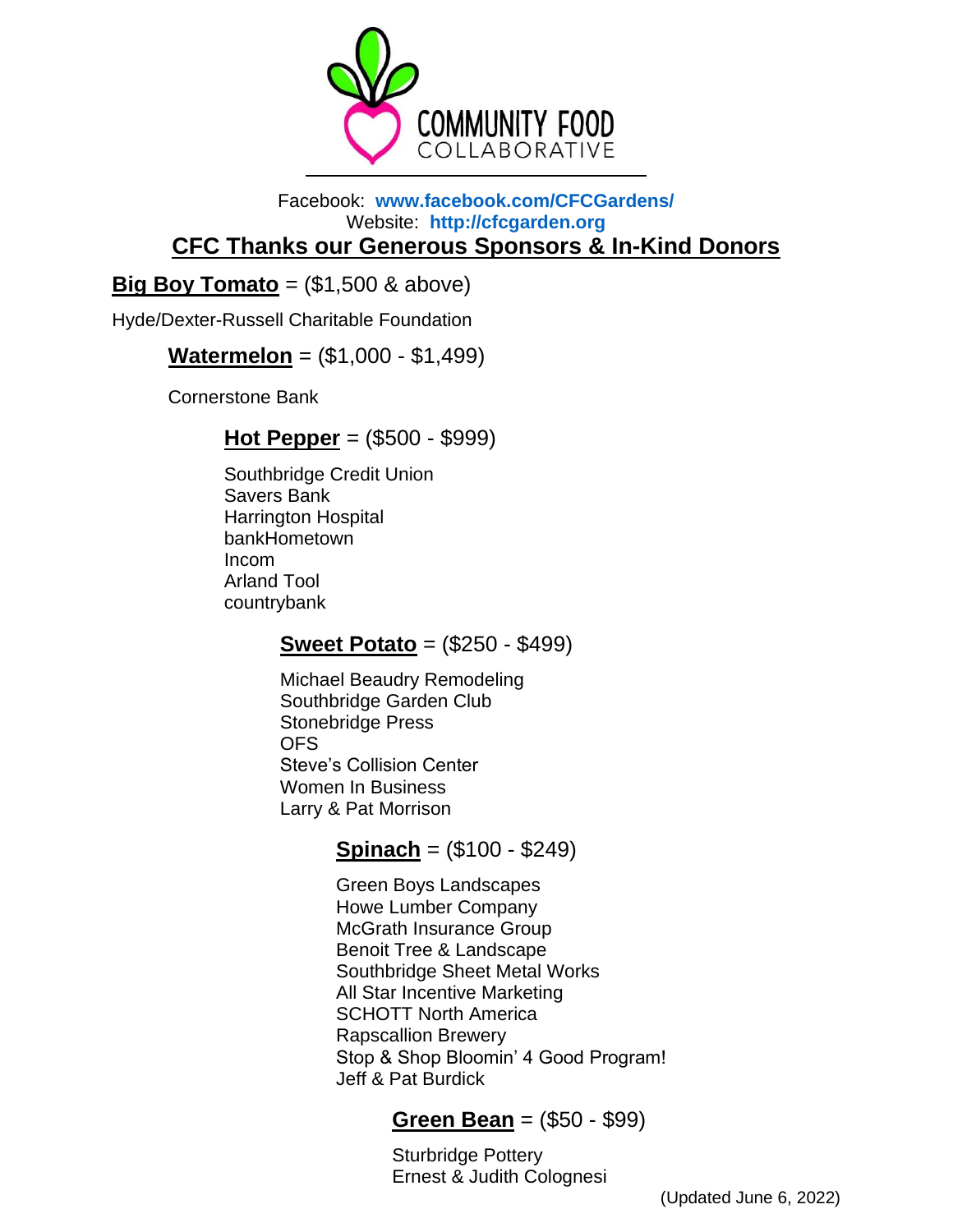

#### Facebook: **[www.facebook.com/CFCGardens/](http://www.facebook.com/CFCGardens/)** Website: **[http://cfcgarden.org](http://cfcgarden.org/) CFC Thanks our Generous Sponsors & In-Kind Donors**

## **Big Boy Tomato** =  $(\$1,500 \& above)$

Hyde/Dexter-Russell Charitable Foundation

## **Watermelon** = (\$1,000 - \$1,499)

Cornerstone Bank

### **Hot Pepper** = (\$500 - \$999)

Southbridge Credit Union Savers Bank Harrington Hospital bankHometown Incom Arland Tool countrybank

### **Sweet Potato** = (\$250 - \$499)

Michael Beaudry Remodeling Southbridge Garden Club Stonebridge Press OFS Steve's Collision Center Women In Business Larry & Pat Morrison

# **Spinach** = (\$100 - \$249)

Green Boys Landscapes Howe Lumber Company McGrath Insurance Group Benoit Tree & Landscape Southbridge Sheet Metal Works All Star Incentive Marketing SCHOTT North America Rapscallion Brewery Stop & Shop Bloomin' 4 Good Program! Jeff & Pat Burdick

## **Green Bean** = (\$50 - \$99)

Sturbridge Pottery Ernest & Judith Colognesi

(Updated June 6, 2022)